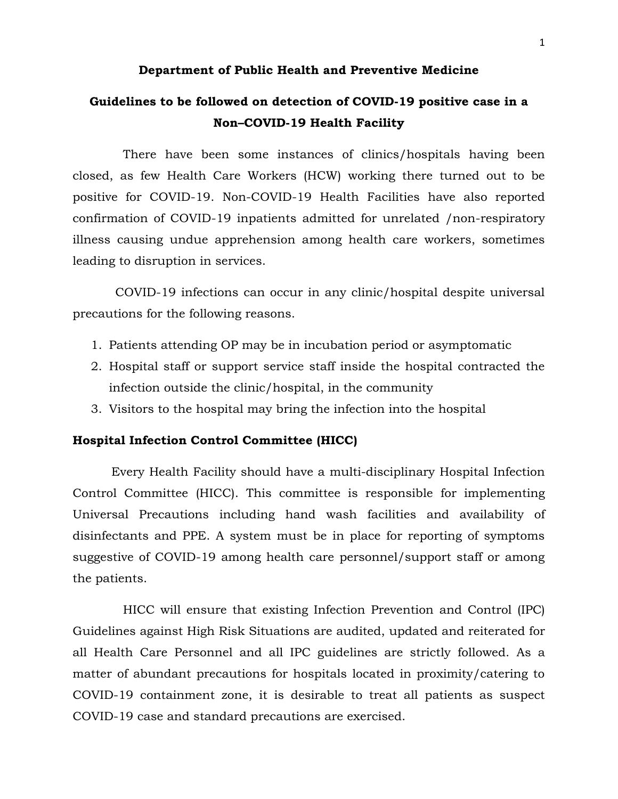#### **Department of Public Health and Preventive Medicine**

## **Guidelines to be followed on detection of COVID-19 positive case in a Non–COVID-19 Health Facility**

 There have been some instances of clinics/hospitals having been closed, as few Health Care Workers (HCW) working there turned out to be positive for COVID-19. Non-COVID-19 Health Facilities have also reported confirmation of COVID-19 inpatients admitted for unrelated /non-respiratory illness causing undue apprehension among health care workers, sometimes leading to disruption in services.

 COVID-19 infections can occur in any clinic/hospital despite universal precautions for the following reasons.

- 1. Patients attending OP may be in incubation period or asymptomatic
- 2. Hospital staff or support service staff inside the hospital contracted the infection outside the clinic/hospital, in the community
- 3. Visitors to the hospital may bring the infection into the hospital

#### **Hospital Infection Control Committee (HICC)**

 Every Health Facility should have a multi-disciplinary Hospital Infection Control Committee (HICC). This committee is responsible for implementing Universal Precautions including hand wash facilities and availability of disinfectants and PPE. A system must be in place for reporting of symptoms suggestive of COVID-19 among health care personnel/support staff or among the patients.

 HICC will ensure that existing Infection Prevention and Control (IPC) Guidelines against High Risk Situations are audited, updated and reiterated for all Health Care Personnel and all IPC guidelines are strictly followed. As a matter of abundant precautions for hospitals located in proximity/catering to COVID-19 containment zone, it is desirable to treat all patients as suspect COVID-19 case and standard precautions are exercised.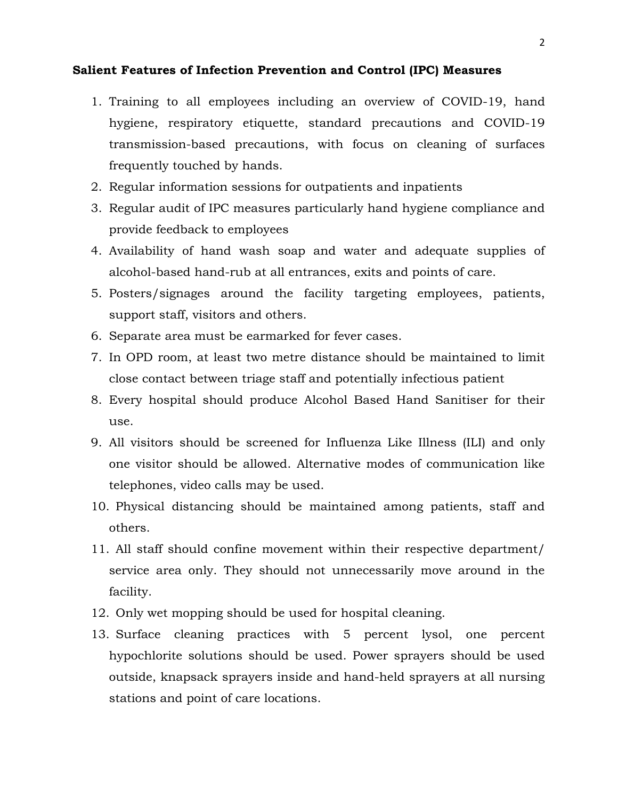#### **Salient Features of Infection Prevention and Control (IPC) Measures**

- 1. Training to all employees including an overview of COVID-19, hand hygiene, respiratory etiquette, standard precautions and COVID-19 transmission-based precautions, with focus on cleaning of surfaces frequently touched by hands.
- 2. Regular information sessions for outpatients and inpatients
- 3. Regular audit of IPC measures particularly hand hygiene compliance and provide feedback to employees
- 4. Availability of hand wash soap and water and adequate supplies of alcohol-based hand-rub at all entrances, exits and points of care.
- 5. Posters/signages around the facility targeting employees, patients, support staff, visitors and others.
- 6. Separate area must be earmarked for fever cases.
- 7. In OPD room, at least two metre distance should be maintained to limit close contact between triage staff and potentially infectious patient
- 8. Every hospital should produce Alcohol Based Hand Sanitiser for their use.
- 9. All visitors should be screened for Influenza Like Illness (ILI) and only one visitor should be allowed. Alternative modes of communication like telephones, video calls may be used.
- 10. Physical distancing should be maintained among patients, staff and others.
- 11. All staff should confine movement within their respective department/ service area only. They should not unnecessarily move around in the facility.
- 12. Only wet mopping should be used for hospital cleaning.
- 13. Surface cleaning practices with 5 percent lysol, one percent hypochlorite solutions should be used. Power sprayers should be used outside, knapsack sprayers inside and hand-held sprayers at all nursing stations and point of care locations.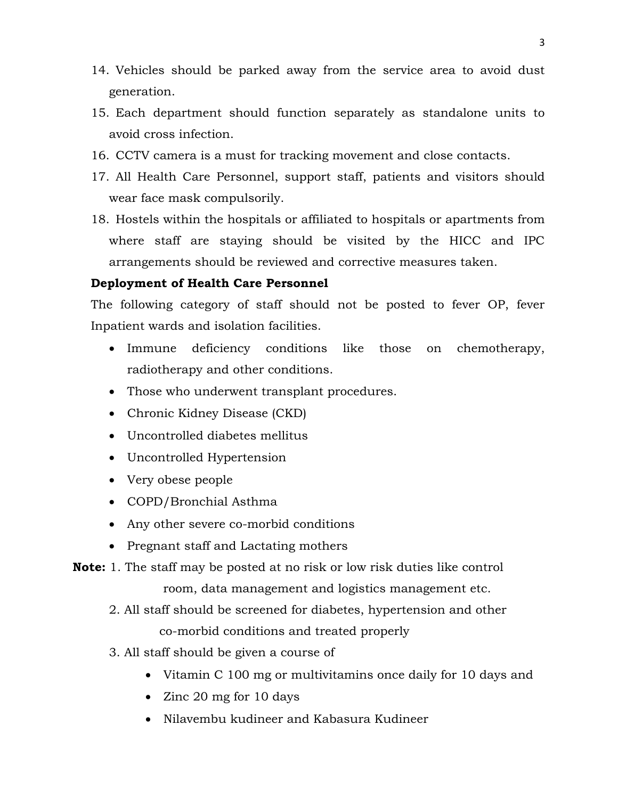- 14. Vehicles should be parked away from the service area to avoid dust generation.
- 15. Each department should function separately as standalone units to avoid cross infection.
- 16. CCTV camera is a must for tracking movement and close contacts.
- 17. All Health Care Personnel, support staff, patients and visitors should wear face mask compulsorily.
- 18. Hostels within the hospitals or affiliated to hospitals or apartments from where staff are staying should be visited by the HICC and IPC arrangements should be reviewed and corrective measures taken.

### **Deployment of Health Care Personnel**

The following category of staff should not be posted to fever OP, fever Inpatient wards and isolation facilities.

- Immune deficiency conditions like those on chemotherapy, radiotherapy and other conditions.
- Those who underwent transplant procedures.
- Chronic Kidney Disease (CKD)
- Uncontrolled diabetes mellitus
- Uncontrolled Hypertension
- Very obese people
- COPD/Bronchial Asthma
- Any other severe co-morbid conditions
- Pregnant staff and Lactating mothers

**Note:** 1. The staff may be posted at no risk or low risk duties like control

room, data management and logistics management etc.

2. All staff should be screened for diabetes, hypertension and other

co-morbid conditions and treated properly

- 3. All staff should be given a course of
	- Vitamin C 100 mg or multivitamins once daily for 10 days and
	- Zinc 20 mg for 10 days
	- Nilavembu kudineer and Kabasura Kudineer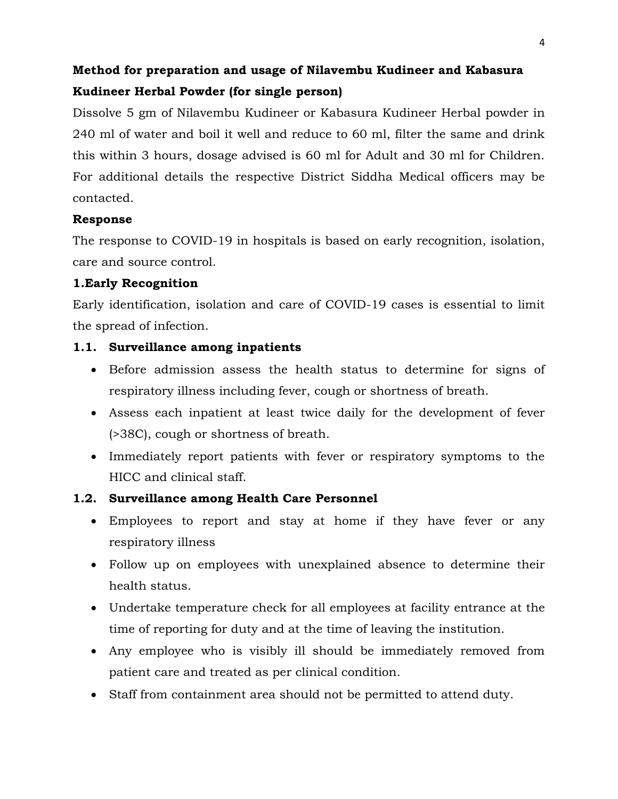# **Method for preparation and usage of Nilavembu Kudineer and Kabasura Kudineer Herbal Powder (for single person)**

Dissolve 5 gm of Nilavembu Kudineer or Kabasura Kudineer Herbal powder in 240 ml of water and boil it well and reduce to 60 ml, filter the same and drink this within 3 hours, dosage advised is 60 ml for Adult and 30 ml for Children. For additional details the respective District Siddha Medical officers may be contacted.

### **Response**

The response to COVID-19 in hospitals is based on early recognition, isolation, care and source control.

## **1.Early Recognition**

Early identification, isolation and care of COVID-19 cases is essential to limit the spread of infection.

## **1.1. Surveillance among inpatients**

- Before admission assess the health status to determine for signs of respiratory illness including fever, cough or shortness of breath.
- Assess each inpatient at least twice daily for the development of fever (>38C), cough or shortness of breath.
- Immediately report patients with fever or respiratory symptoms to the HICC and clinical staff.

## **1.2. Surveillance among Health Care Personnel**

- Employees to report and stay at home if they have fever or any respiratory illness
- Follow up on employees with unexplained absence to determine their health status.
- Undertake temperature check for all employees at facility entrance at the time of reporting for duty and at the time of leaving the institution.
- Any employee who is visibly ill should be immediately removed from patient care and treated as per clinical condition.
- Staff from containment area should not be permitted to attend duty.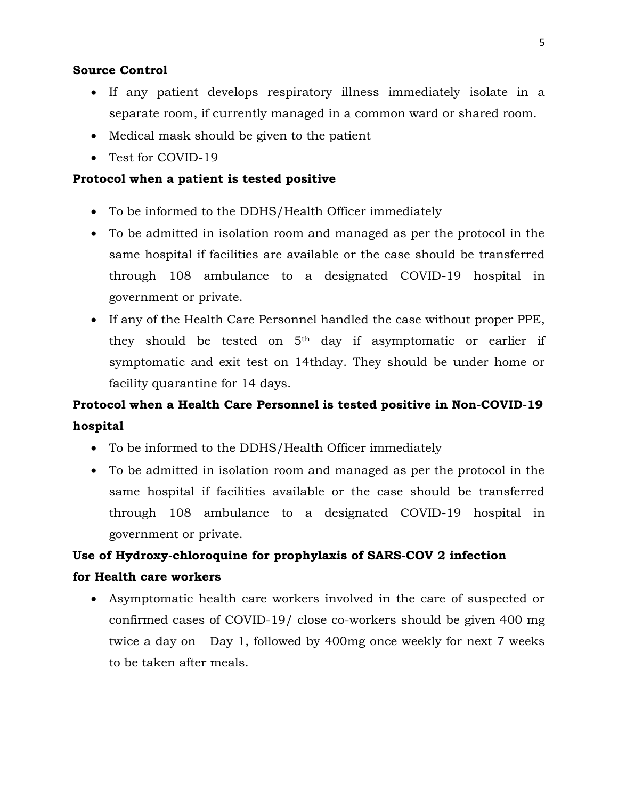#### **Source Control**

- If any patient develops respiratory illness immediately isolate in a separate room, if currently managed in a common ward or shared room.
- Medical mask should be given to the patient
- Test for COVID-19

#### **Protocol when a patient is tested positive**

- To be informed to the DDHS/Health Officer immediately
- To be admitted in isolation room and managed as per the protocol in the same hospital if facilities are available or the case should be transferred through 108 ambulance to a designated COVID-19 hospital in government or private.
- If any of the Health Care Personnel handled the case without proper PPE, they should be tested on 5th day if asymptomatic or earlier if symptomatic and exit test on 14thday. They should be under home or facility quarantine for 14 days.

## **Protocol when a Health Care Personnel is tested positive in Non-COVID-19 hospital**

- To be informed to the DDHS/Health Officer immediately
- To be admitted in isolation room and managed as per the protocol in the same hospital if facilities available or the case should be transferred through 108 ambulance to a designated COVID-19 hospital in government or private.

# **Use of Hydroxy-chloroquine for prophylaxis of SARS-COV 2 infection for Health care workers**

• Asymptomatic health care workers involved in the care of suspected or confirmed cases of COVID-19/ close co-workers should be given 400 mg twice a day on Day 1, followed by 400mg once weekly for next 7 weeks to be taken after meals.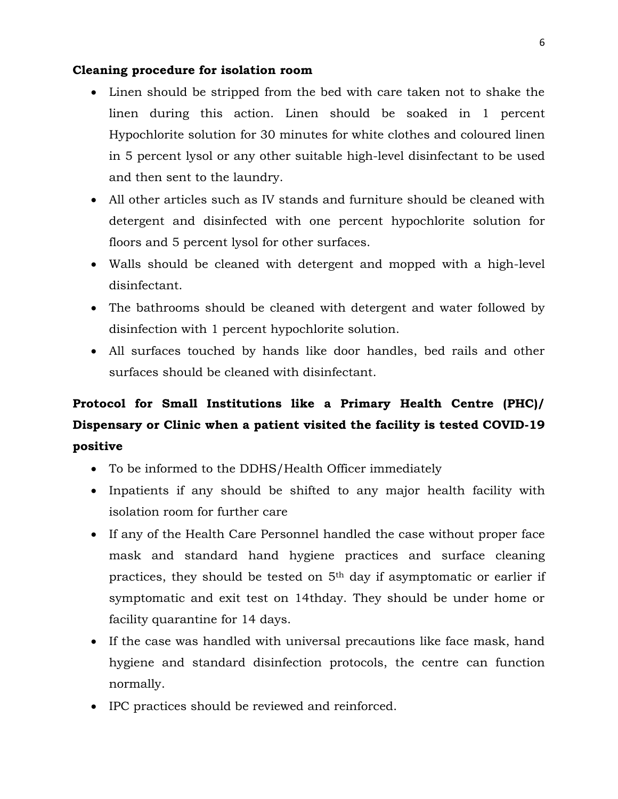#### **Cleaning procedure for isolation room**

- Linen should be stripped from the bed with care taken not to shake the linen during this action. Linen should be soaked in 1 percent Hypochlorite solution for 30 minutes for white clothes and coloured linen in 5 percent lysol or any other suitable high-level disinfectant to be used and then sent to the laundry.
- All other articles such as IV stands and furniture should be cleaned with detergent and disinfected with one percent hypochlorite solution for floors and 5 percent lysol for other surfaces.
- Walls should be cleaned with detergent and mopped with a high-level disinfectant.
- The bathrooms should be cleaned with detergent and water followed by disinfection with 1 percent hypochlorite solution.
- All surfaces touched by hands like door handles, bed rails and other surfaces should be cleaned with disinfectant.

# **Protocol for Small Institutions like a Primary Health Centre (PHC)/ Dispensary or Clinic when a patient visited the facility is tested COVID-19 positive**

- To be informed to the DDHS/Health Officer immediately
- Inpatients if any should be shifted to any major health facility with isolation room for further care
- If any of the Health Care Personnel handled the case without proper face mask and standard hand hygiene practices and surface cleaning practices, they should be tested on 5th day if asymptomatic or earlier if symptomatic and exit test on 14thday. They should be under home or facility quarantine for 14 days.
- If the case was handled with universal precautions like face mask, hand hygiene and standard disinfection protocols, the centre can function normally.
- IPC practices should be reviewed and reinforced.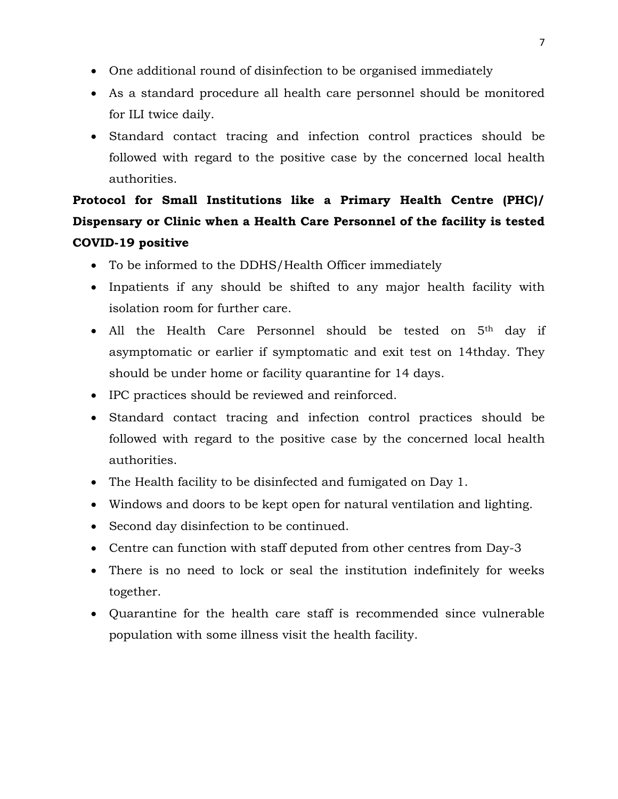- One additional round of disinfection to be organised immediately
- As a standard procedure all health care personnel should be monitored for ILI twice daily.
- Standard contact tracing and infection control practices should be followed with regard to the positive case by the concerned local health authorities.

# **Protocol for Small Institutions like a Primary Health Centre (PHC)/ Dispensary or Clinic when a Health Care Personnel of the facility is tested COVID-19 positive**

- To be informed to the DDHS/Health Officer immediately
- Inpatients if any should be shifted to any major health facility with isolation room for further care.
- All the Health Care Personnel should be tested on 5th day if asymptomatic or earlier if symptomatic and exit test on 14thday. They should be under home or facility quarantine for 14 days.
- IPC practices should be reviewed and reinforced.
- Standard contact tracing and infection control practices should be followed with regard to the positive case by the concerned local health authorities.
- The Health facility to be disinfected and fumigated on Day 1.
- Windows and doors to be kept open for natural ventilation and lighting.
- Second day disinfection to be continued.
- Centre can function with staff deputed from other centres from Day-3
- There is no need to lock or seal the institution indefinitely for weeks together.
- Quarantine for the health care staff is recommended since vulnerable population with some illness visit the health facility.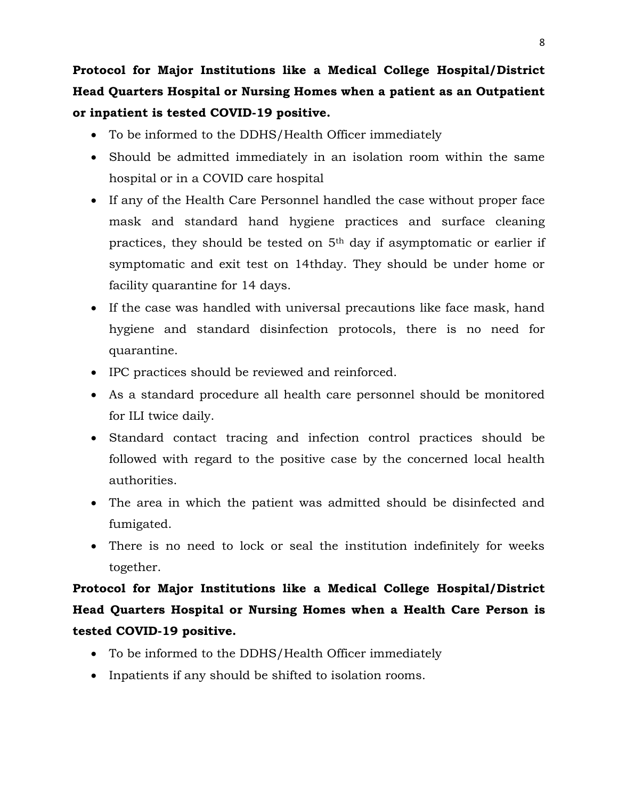**Protocol for Major Institutions like a Medical College Hospital/District Head Quarters Hospital or Nursing Homes when a patient as an Outpatient or inpatient is tested COVID-19 positive.**

- To be informed to the DDHS/Health Officer immediately
- Should be admitted immediately in an isolation room within the same hospital or in a COVID care hospital
- If any of the Health Care Personnel handled the case without proper face mask and standard hand hygiene practices and surface cleaning practices, they should be tested on 5th day if asymptomatic or earlier if symptomatic and exit test on 14thday. They should be under home or facility quarantine for 14 days.
- If the case was handled with universal precautions like face mask, hand hygiene and standard disinfection protocols, there is no need for quarantine.
- IPC practices should be reviewed and reinforced.
- As a standard procedure all health care personnel should be monitored for ILI twice daily.
- Standard contact tracing and infection control practices should be followed with regard to the positive case by the concerned local health authorities.
- The area in which the patient was admitted should be disinfected and fumigated.
- There is no need to lock or seal the institution indefinitely for weeks together.

**Protocol for Major Institutions like a Medical College Hospital/District Head Quarters Hospital or Nursing Homes when a Health Care Person is tested COVID-19 positive.**

- To be informed to the DDHS/Health Officer immediately
- Inpatients if any should be shifted to isolation rooms.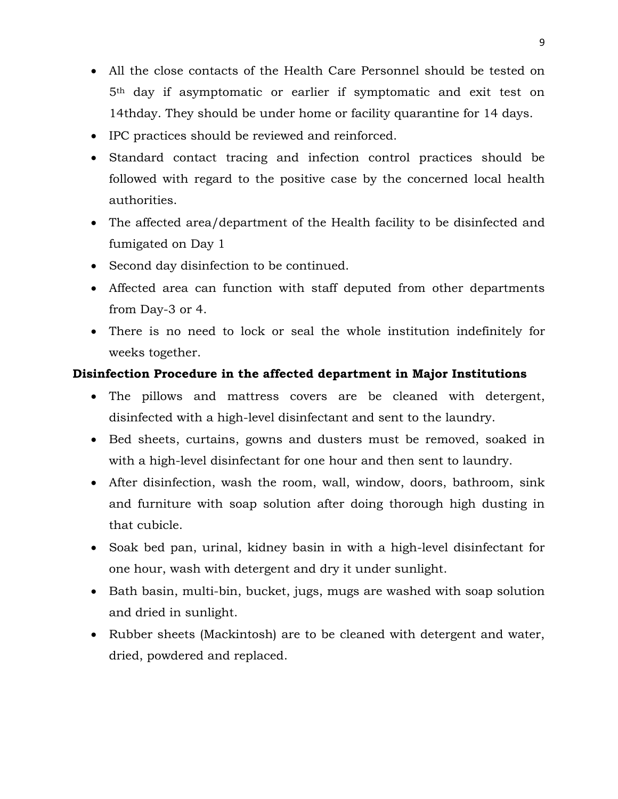- All the close contacts of the Health Care Personnel should be tested on 5th day if asymptomatic or earlier if symptomatic and exit test on 14thday. They should be under home or facility quarantine for 14 days.
- IPC practices should be reviewed and reinforced.
- Standard contact tracing and infection control practices should be followed with regard to the positive case by the concerned local health authorities.
- The affected area/department of the Health facility to be disinfected and fumigated on Day 1
- Second day disinfection to be continued.
- Affected area can function with staff deputed from other departments from Day-3 or 4.
- There is no need to lock or seal the whole institution indefinitely for weeks together.

## **Disinfection Procedure in the affected department in Major Institutions**

- The pillows and mattress covers are be cleaned with detergent, disinfected with a high-level disinfectant and sent to the laundry.
- Bed sheets, curtains, gowns and dusters must be removed, soaked in with a high-level disinfectant for one hour and then sent to laundry.
- After disinfection, wash the room, wall, window, doors, bathroom, sink and furniture with soap solution after doing thorough high dusting in that cubicle.
- Soak bed pan, urinal, kidney basin in with a high-level disinfectant for one hour, wash with detergent and dry it under sunlight.
- Bath basin, multi-bin, bucket, jugs, mugs are washed with soap solution and dried in sunlight.
- Rubber sheets (Mackintosh) are to be cleaned with detergent and water, dried, powdered and replaced.